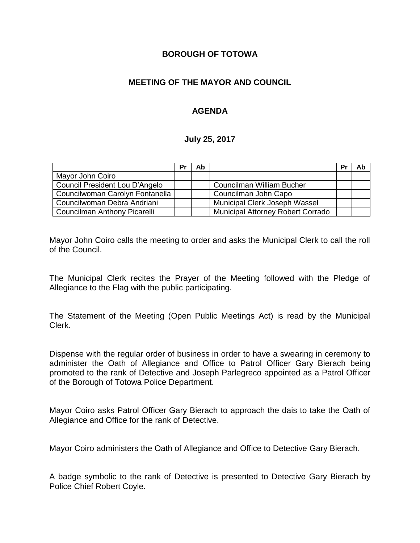### **BOROUGH OF TOTOWA**

# **MEETING OF THE MAYOR AND COUNCIL**

# **AGENDA**

### **July 25, 2017**

|                                 | Pr | Ab |                                          | Pr | Ab |
|---------------------------------|----|----|------------------------------------------|----|----|
| Mayor John Coiro                |    |    |                                          |    |    |
| Council President Lou D'Angelo  |    |    | Councilman William Bucher                |    |    |
| Councilwoman Carolyn Fontanella |    |    | Councilman John Capo                     |    |    |
| Councilwoman Debra Andriani     |    |    | <b>Municipal Clerk Joseph Wassel</b>     |    |    |
| Councilman Anthony Picarelli    |    |    | <b>Municipal Attorney Robert Corrado</b> |    |    |

Mayor John Coiro calls the meeting to order and asks the Municipal Clerk to call the roll of the Council.

The Municipal Clerk recites the Prayer of the Meeting followed with the Pledge of Allegiance to the Flag with the public participating.

The Statement of the Meeting (Open Public Meetings Act) is read by the Municipal Clerk.

Dispense with the regular order of business in order to have a swearing in ceremony to administer the Oath of Allegiance and Office to Patrol Officer Gary Bierach being promoted to the rank of Detective and Joseph Parlegreco appointed as a Patrol Officer of the Borough of Totowa Police Department.

Mayor Coiro asks Patrol Officer Gary Bierach to approach the dais to take the Oath of Allegiance and Office for the rank of Detective.

Mayor Coiro administers the Oath of Allegiance and Office to Detective Gary Bierach.

A badge symbolic to the rank of Detective is presented to Detective Gary Bierach by Police Chief Robert Coyle.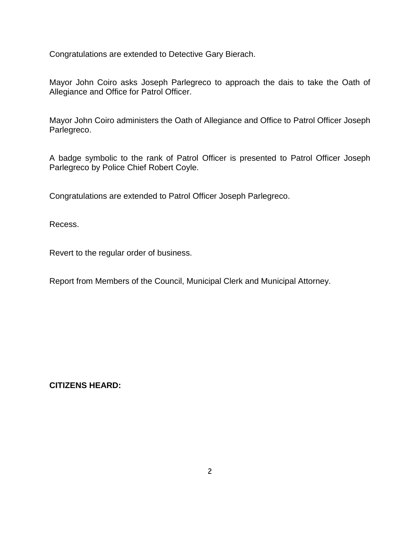Congratulations are extended to Detective Gary Bierach.

Mayor John Coiro asks Joseph Parlegreco to approach the dais to take the Oath of Allegiance and Office for Patrol Officer.

Mayor John Coiro administers the Oath of Allegiance and Office to Patrol Officer Joseph Parlegreco.

A badge symbolic to the rank of Patrol Officer is presented to Patrol Officer Joseph Parlegreco by Police Chief Robert Coyle.

Congratulations are extended to Patrol Officer Joseph Parlegreco.

Recess.

Revert to the regular order of business.

Report from Members of the Council, Municipal Clerk and Municipal Attorney.

**CITIZENS HEARD:**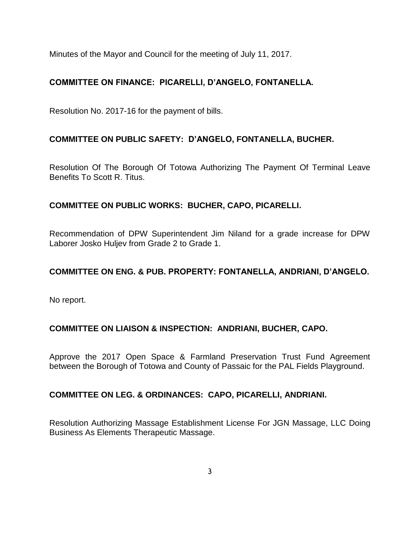Minutes of the Mayor and Council for the meeting of July 11, 2017.

# **COMMITTEE ON FINANCE: PICARELLI, D'ANGELO, FONTANELLA.**

Resolution No. 2017-16 for the payment of bills.

# **COMMITTEE ON PUBLIC SAFETY: D'ANGELO, FONTANELLA, BUCHER.**

Resolution Of The Borough Of Totowa Authorizing The Payment Of Terminal Leave Benefits To Scott R. Titus.

### **COMMITTEE ON PUBLIC WORKS: BUCHER, CAPO, PICARELLI.**

Recommendation of DPW Superintendent Jim Niland for a grade increase for DPW Laborer Josko Huljev from Grade 2 to Grade 1.

# **COMMITTEE ON ENG. & PUB. PROPERTY: FONTANELLA, ANDRIANI, D'ANGELO.**

No report.

### **COMMITTEE ON LIAISON & INSPECTION: ANDRIANI, BUCHER, CAPO.**

Approve the 2017 Open Space & Farmland Preservation Trust Fund Agreement between the Borough of Totowa and County of Passaic for the PAL Fields Playground.

### **COMMITTEE ON LEG. & ORDINANCES: CAPO, PICARELLI, ANDRIANI.**

Resolution Authorizing Massage Establishment License For JGN Massage, LLC Doing Business As Elements Therapeutic Massage.